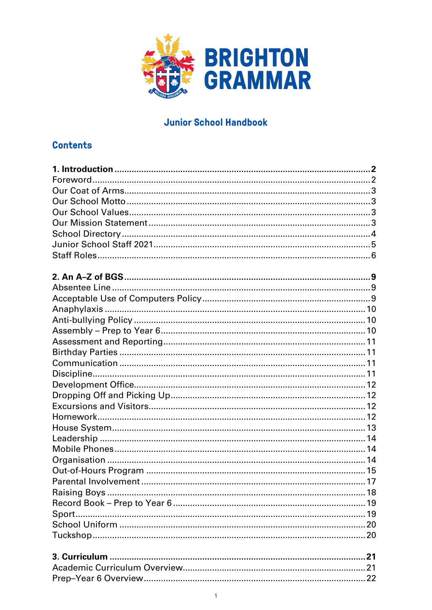

# **Junior School Handbook**

# **Contents**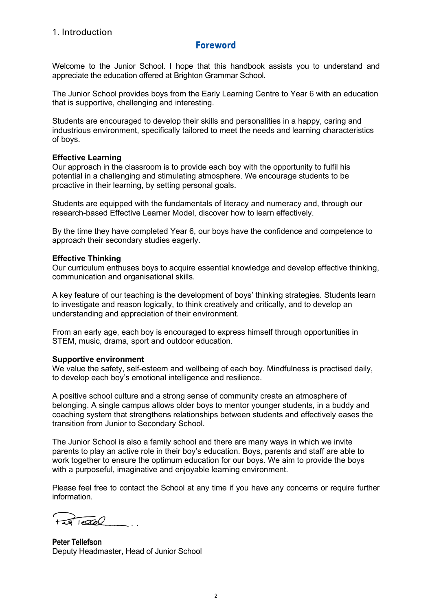## **Foreword**

<span id="page-1-1"></span><span id="page-1-0"></span>Welcome to the Junior School. I hope that this handbook assists you to understand and appreciate the education offered at Brighton Grammar School.

The Junior School provides boys from the Early Learning Centre to Year 6 with an education that is supportive, challenging and interesting.

Students are encouraged to develop their skills and personalities in a happy, caring and industrious environment, specifically tailored to meet the needs and learning characteristics of boys.

#### **Effective Learning**

Our approach in the classroom is to provide each boy with the opportunity to fulfil his potential in a challenging and stimulating atmosphere. We encourage students to be proactive in their learning, by setting personal goals.

Students are equipped with the fundamentals of literacy and numeracy and, through our research-based Effective Learner Model, discover how to learn effectively.

By the time they have completed Year 6, our boys have the confidence and competence to approach their secondary studies eagerly.

#### **Effective Thinking**

Our curriculum enthuses boys to acquire essential knowledge and develop effective thinking, communication and organisational skills.

A key feature of our teaching is the development of boys' thinking strategies. Students learn to investigate and reason logically, to think creatively and critically, and to develop an understanding and appreciation of their environment.

From an early age, each boy is encouraged to express himself through opportunities in STEM, music, drama, sport and outdoor education.

#### **Supportive environment**

We value the safety, self-esteem and wellbeing of each boy. Mindfulness is practised daily, to develop each boy's emotional intelligence and resilience.

A positive school culture and a strong sense of community create an atmosphere of belonging. A single campus allows older boys to mentor younger students, in a buddy and coaching system that strengthens relationships between students and effectively eases the transition from Junior to Secondary School.

The Junior School is also a family school and there are many ways in which we invite parents to play an active role in their boy's education. Boys, parents and staff are able to work together to ensure the optimum education for our boys. We aim to provide the boys with a purposeful, imaginative and enjoyable learning environment.

Please feel free to contact the School at any time if you have any concerns or require further information.

 $T = 20$ 

**Peter Tellefson** Deputy Headmaster, Head of Junior School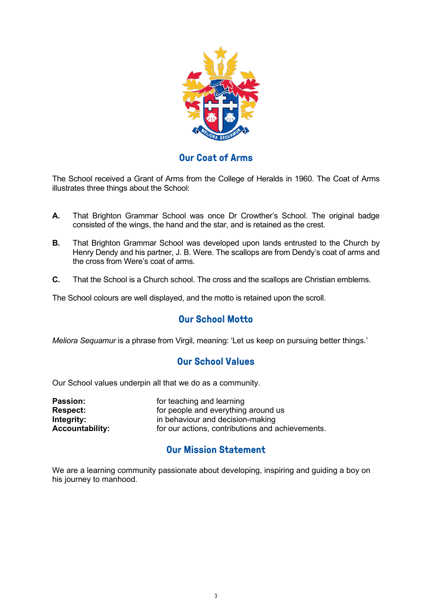

# **Our Coat of Arms**

<span id="page-2-0"></span>The School received a Grant of Arms from the College of Heralds in 1960. The Coat of Arms illustrates three things about the School:

- **A.** That Brighton Grammar School was once Dr Crowther's School. The original badge consisted of the wings, the hand and the star, and is retained as the crest.
- **B.** That Brighton Grammar School was developed upon lands entrusted to the Church by Henry Dendy and his partner, J. B. Were. The scallops are from Dendy's coat of arms and the cross from Were's coat of arms.
- **C.** That the School is a Church school. The cross and the scallops are Christian emblems.

<span id="page-2-1"></span>The School colours are well displayed, and the motto is retained upon the scroll.

## **Our School Motto**

<span id="page-2-2"></span>*Meliora Sequamur* is a phrase from Virgil, meaning: 'Let us keep on pursuing better things.'

## **Our School Values**

Our School values underpin all that we do as a community.

| <b>Passion:</b>        | for teaching and learning<br>for people and everything around us<br>in behaviour and decision-making |  |
|------------------------|------------------------------------------------------------------------------------------------------|--|
| <b>Respect:</b>        |                                                                                                      |  |
| Integrity:             |                                                                                                      |  |
| <b>Accountability:</b> | for our actions, contributions and achievements.                                                     |  |

## **Our Mission Statement**

<span id="page-2-3"></span>We are a learning community passionate about developing, inspiring and guiding a boy on his journey to manhood.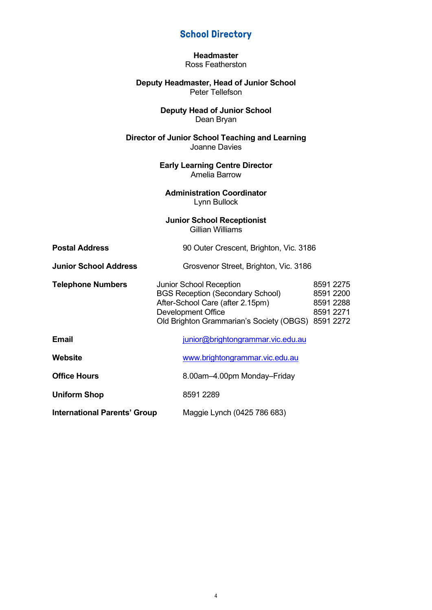# **School Directory**

**Headmaster** Ross Featherston

#### <span id="page-3-0"></span>**Deputy Headmaster, Head of Junior School** Peter Tellefson

#### **Deputy Head of Junior School** Dean Bryan

#### **Director of Junior School Teaching and Learning** Joanne Davies

**Early Learning Centre Director** Amelia Barrow

**Administration Coordinator** Lynn Bullock

#### **Junior School Receptionist** Gillian Williams

| <b>Postal Address</b>               | 90 Outer Crescent, Brighton, Vic. 3186                                                                                                                                                                                                        |  |  |
|-------------------------------------|-----------------------------------------------------------------------------------------------------------------------------------------------------------------------------------------------------------------------------------------------|--|--|
| <b>Junior School Address</b>        | Grosvenor Street, Brighton, Vic. 3186                                                                                                                                                                                                         |  |  |
| <b>Telephone Numbers</b>            | 8591 2275<br><b>Junior School Reception</b><br><b>BGS Reception (Secondary School)</b><br>8591 2200<br>After-School Care (after 2.15pm)<br>8591 2288<br>Development Office<br>8591 2271<br>Old Brighton Grammarian's Society (OBGS) 8591 2272 |  |  |
| <b>Email</b>                        | junior@brightongrammar.vic.edu.au                                                                                                                                                                                                             |  |  |
| Website                             | www.brightongrammar.vic.edu.au                                                                                                                                                                                                                |  |  |
| <b>Office Hours</b>                 | 8.00am-4.00pm Monday-Friday                                                                                                                                                                                                                   |  |  |
| <b>Uniform Shop</b>                 | 8591 2289                                                                                                                                                                                                                                     |  |  |
| <b>International Parents' Group</b> | Maggie Lynch (0425 786 683)                                                                                                                                                                                                                   |  |  |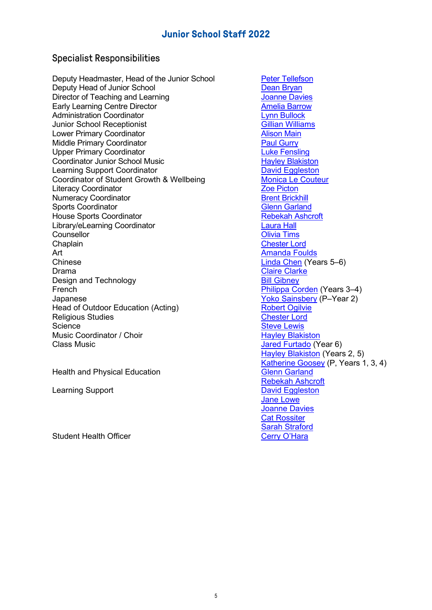# **Junior School Staff 2022**

# <span id="page-4-0"></span>Specialist Responsibilities

Deputy Headmaster, Head of the Junior School Peter [Tellefson](mailto:junior@brightongrammar.vic.edu.au) Deputy Head of Junior School<br>
Director of Teaching and Learning<br>
Director of Teaching and Learning<br>
Director of Teaching and Learning Director of Teaching and Learning Early Learning Centre Director **Amelia [Barrow](mailto:barrowa@brightongrammar.vic.edu.au)** Administration Coordinator<br>
Junior School Receptionist<br>
Cillian Williams Junior School Receptionist<br>
Lower Primary Coordinator<br>
Lower Primary Coordinator Lower Primary Coordinator Middle Primary Coordinator **[Paul Gurry](mailto:pgurry@brightongrammar.vic.edu.au)** Paul Gurry Upper Primary Coordinator **Luke Fensing** Coordinator Junior School Music<br>
Learning Support Coordinator<br>
Learning Support Coordinator Learning Support Coordinator<br>
Coordinator of Student Growth & Wellbeing<br>
Monica Le Couteur Coordinator of Student Growth & Wellbeing<br>
Literacy Coordinator<br>
Zoe Picton Literacy Coordinator and the community of the Coordinator and The Coordinator Coordinator and The Coordinator<br>
Dependence Coordinator and The Coordinator and The Coordinator and The Coordinator and The Coordinator and Th Numeracy Coordinator and the Second [Brent Brickhill](mailto:bbrickhill@brightongrammar.vic.edu.au) Sports Coordinator and the Brickhill Sports Coordinator and Brickhill Sports Coordinator and Brickhill Sports Coordinator and Brickhill Sports Coordinator and Brickhill S Sports Coordinator House Sports Coordinator **[Rebekah Ashcroft](mailto:rashcroft@brightongrammar.vic.edu.au)** Library/eLearning Coordinator<br>Counsellor Counsellor **Chaplain** Chaplain Chaplain [Chester Lord](mailto:lordc@brightongrammar.vic.edu.au) Art [Amanda Foulds](mailto:afoulds@brightongrammar.vic.edu.au) Chinese [Linda Chen](mailto:lchen@brightongrammar.vic.edu.au) (Years 5–6) Drama [Claire Clarke](mailto:clarkec@brightongrammar.vic.edu.au) Design and Technology **[Bill Gibney](mailto:gibneyb@brightongrammar.vic.edu.au)** French **[Philippa Corden](mailto:pcorden@brightongrammar.vic.edu.au)** (Years 3–4) Japanese<br>
Head of Outdoor Education (Acting) Mean Struck Robert Ogilvie Robert Ogilvie Head of Outdoor Education (Acting)<br>
Religious Studies<br>
Religious Studies<br>
Religious Chester Lord **Religious Studies** Science<br>
Music Coordinator / Choir<br>
Music Coordinator / Choir<br>
Music Coordinator / Choir Music Coordinator / Choir<br>Class Music

Health and Physical Education [Glenn Garland](mailto:ggarland@brightongrammar.vic.edu.au)

Learning Support **David Engleston** 

Student Health Officer

**[Olivia Tims](mailto:timso@brightongrammar.vic.edu.au)** [Jared Furtado](mailto:furtadoj@brightongrammar.vic.edu.au) (Year 6) [Hayley Blakiston](mailto:hblakiston@brightongrammar.vic.edu.au) (Years 2, 5) [Katherine Goosey](mailto:kgoosey@brightongrammar.vic.edu.au) (P, Years 1, 3, 4) [Rebekah Ashcroft](mailto:rashcroft@brightongrammar.vic.edu.au) [Jane Lowe](mailto:lowej@brightongrammar.vic.edu.au) [Joanne Davies](mailto:daviesj@brightongrammar.vic.edu.au) [Cat Rossiter](mailto:rossiterc@brightongrammar.vic.edu.au) Sarah [Straford](mailto:strafords@brightongrammar.vic.edu.au)<br>Cerry O'Hara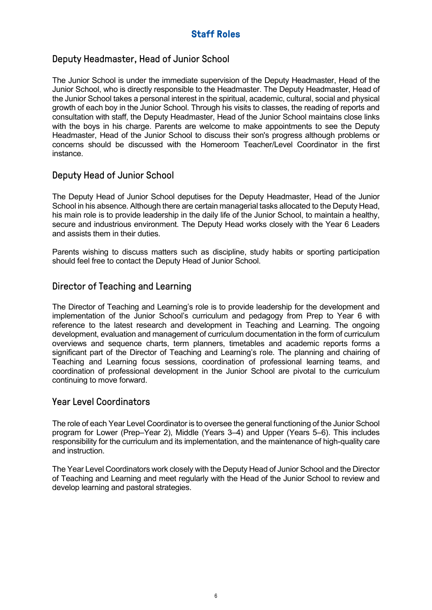# **Staff Roles**

# <span id="page-5-0"></span>Deputy Headmaster, Head of Junior School

The Junior School is under the immediate supervision of the Deputy Headmaster, Head of the Junior School, who is directly responsible to the Headmaster. The Deputy Headmaster, Head of the Junior School takes a personal interest in the spiritual, academic, cultural, social and physical growth of each boy in the Junior School. Through his visits to classes, the reading of reports and consultation with staff, the Deputy Headmaster, Head of the Junior School maintains close links with the boys in his charge. Parents are welcome to make appointments to see the Deputy Headmaster, Head of the Junior School to discuss their son's progress although problems or concerns should be discussed with the Homeroom Teacher/Level Coordinator in the first instance.

# Deputy Head of Junior School

The Deputy Head of Junior School deputises for the Deputy Headmaster, Head of the Junior School in his absence. Although there are certain managerial tasks allocated to the Deputy Head, his main role is to provide leadership in the daily life of the Junior School, to maintain a healthy, secure and industrious environment. The Deputy Head works closely with the Year 6 Leaders and assists them in their duties.

Parents wishing to discuss matters such as discipline, study habits or sporting participation should feel free to contact the Deputy Head of Junior School.

# Director of Teaching and Learning

The Director of Teaching and Learning's role is to provide leadership for the development and implementation of the Junior School's curriculum and pedagogy from Prep to Year 6 with reference to the latest research and development in Teaching and Learning. The ongoing development, evaluation and management of curriculum documentation in the form of curriculum overviews and sequence charts, term planners, timetables and academic reports forms a significant part of the Director of Teaching and Learning's role. The planning and chairing of Teaching and Learning focus sessions, coordination of professional learning teams, and coordination of professional development in the Junior School are pivotal to the curriculum continuing to move forward.

## Year Level Coordinators

The role of each Year Level Coordinator is to oversee the general functioning of the Junior School program for Lower (Prep–Year 2), Middle (Years 3–4) and Upper (Years 5–6). This includes responsibility for the curriculum and its implementation, and the maintenance of high-quality care and instruction.

The Year Level Coordinators work closely with the Deputy Head of Junior School and the Director of Teaching and Learning and meet regularly with the Head of the Junior School to review and develop learning and pastoral strategies.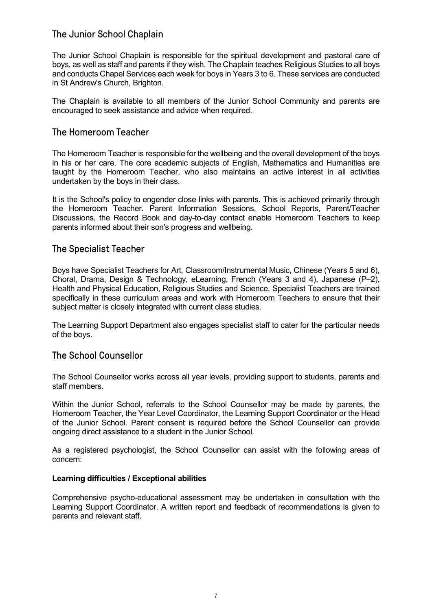## The Junior School Chaplain

The Junior School Chaplain is responsible for the spiritual development and pastoral care of boys, as well as staff and parents if they wish. The Chaplain teaches Religious Studies to all boys and conducts Chapel Services each week for boys in Years 3 to 6. These services are conducted in St Andrew's Church, Brighton.

The Chaplain is available to all members of the Junior School Community and parents are encouraged to seek assistance and advice when required.

### The Homeroom Teacher

The Homeroom Teacher is responsible for the wellbeing and the overall development of the boys in his or her care. The core academic subjects of English, Mathematics and Humanities are taught by the Homeroom Teacher, who also maintains an active interest in all activities undertaken by the boys in their class.

It is the School's policy to engender close links with parents. This is achieved primarily through the Homeroom Teacher. Parent Information Sessions, School Reports, Parent/Teacher Discussions, the Record Book and day-to-day contact enable Homeroom Teachers to keep parents informed about their son's progress and wellbeing.

### The Specialist Teacher

Boys have Specialist Teachers for Art, Classroom/Instrumental Music, Chinese (Years 5 and 6), Choral, Drama, Design & Technology, eLearning, French (Years 3 and 4), Japanese (P–2), Health and Physical Education, Religious Studies and Science. Specialist Teachers are trained specifically in these curriculum areas and work with Homeroom Teachers to ensure that their subject matter is closely integrated with current class studies.

The Learning Support Department also engages specialist staff to cater for the particular needs of the boys.

### The School Counsellor

The School Counsellor works across all year levels, providing support to students, parents and staff members.

Within the Junior School, referrals to the School Counsellor may be made by parents, the Homeroom Teacher, the Year Level Coordinator, the Learning Support Coordinator or the Head of the Junior School. Parent consent is required before the School Counsellor can provide ongoing direct assistance to a student in the Junior School.

As a registered psychologist, the School Counsellor can assist with the following areas of concern:

#### **Learning difficulties / Exceptional abilities**

Comprehensive psycho-educational assessment may be undertaken in consultation with the Learning Support Coordinator. A written report and feedback of recommendations is given to parents and relevant staff.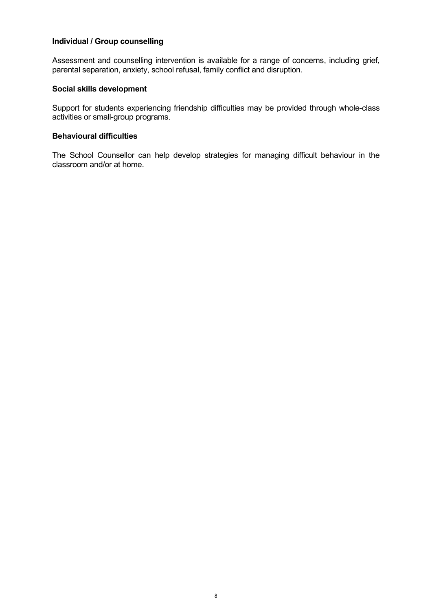#### **Individual / Group counselling**

Assessment and counselling intervention is available for a range of concerns, including grief, parental separation, anxiety, school refusal, family conflict and disruption.

#### **Social skills development**

Support for students experiencing friendship difficulties may be provided through whole-class activities or small-group programs.

#### **Behavioural difficulties**

The School Counsellor can help develop strategies for managing difficult behaviour in the classroom and/or at home.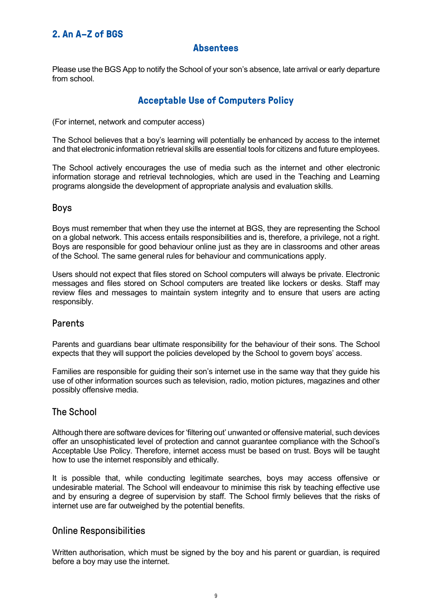# <span id="page-8-1"></span><span id="page-8-0"></span>**2. An A–Z of BGS**

## **Absentees**

Please use the BGS App to notify the School of your son's absence, late arrival or early departure from school.

# **Acceptable Use of Computers Policy**

<span id="page-8-2"></span>(For internet, network and computer access)

The School believes that a boy's learning will potentially be enhanced by access to the internet and that electronic information retrieval skills are essential tools for citizens and future employees.

The School actively encourages the use of media such as the internet and other electronic information storage and retrieval technologies, which are used in the Teaching and Learning programs alongside the development of appropriate analysis and evaluation skills.

### Boys

Boys must remember that when they use the internet at BGS, they are representing the School on a global network. This access entails responsibilities and is, therefore, a privilege, not a right. Boys are responsible for good behaviour online just as they are in classrooms and other areas of the School. The same general rules for behaviour and communications apply.

Users should not expect that files stored on School computers will always be private. Electronic messages and files stored on School computers are treated like lockers or desks. Staff may review files and messages to maintain system integrity and to ensure that users are acting responsibly.

### Parents

Parents and guardians bear ultimate responsibility for the behaviour of their sons. The School expects that they will support the policies developed by the School to govern boys' access.

Families are responsible for guiding their son's internet use in the same way that they guide his use of other information sources such as television, radio, motion pictures, magazines and other possibly offensive media.

### The School

Although there are software devices for 'filtering out' unwanted or offensive material, such devices offer an unsophisticated level of protection and cannot guarantee compliance with the School's Acceptable Use Policy. Therefore, internet access must be based on trust. Boys will be taught how to use the internet responsibly and ethically.

It is possible that, while conducting legitimate searches, boys may access offensive or undesirable material. The School will endeavour to minimise this risk by teaching effective use and by ensuring a degree of supervision by staff. The School firmly believes that the risks of internet use are far outweighed by the potential benefits.

### Online Responsibilities

Written authorisation, which must be signed by the boy and his parent or guardian, is required before a boy may use the internet.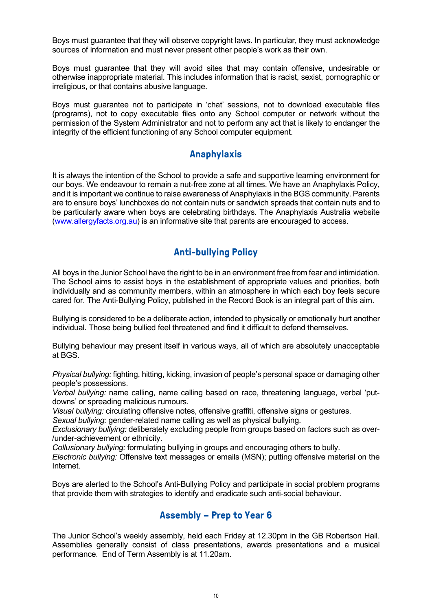Boys must guarantee that they will observe copyright laws. In particular, they must acknowledge sources of information and must never present other people's work as their own.

Boys must guarantee that they will avoid sites that may contain offensive, undesirable or otherwise inappropriate material. This includes information that is racist, sexist, pornographic or irreligious, or that contains abusive language.

Boys must guarantee not to participate in 'chat' sessions, not to download executable files (programs), not to copy executable files onto any School computer or network without the permission of the System Administrator and not to perform any act that is likely to endanger the integrity of the efficient functioning of any School computer equipment.

## **Anaphylaxis**

<span id="page-9-0"></span>It is always the intention of the School to provide a safe and supportive learning environment for our boys. We endeavour to remain a nut-free zone at all times. We have an Anaphylaxis Policy, and it is important we continue to raise awareness of Anaphylaxis in the BGS community. Parents are to ensure boys' lunchboxes do not contain nuts or sandwich spreads that contain nuts and to be particularly aware when boys are celebrating birthdays. The Anaphylaxis Australia website [\(www.allergyfacts.org.au\)](http://www.allergyfacts.org.au/) is an informative site that parents are encouraged to access.

# **Anti-bullying Policy**

<span id="page-9-1"></span>All boys in the Junior School have the right to be in an environment free from fear and intimidation. The School aims to assist boys in the establishment of appropriate values and priorities, both individually and as community members, within an atmosphere in which each boy feels secure cared for. The Anti-Bullying Policy, published in the Record Book is an integral part of this aim.

Bullying is considered to be a deliberate action, intended to physically or emotionally hurt another individual. Those being bullied feel threatened and find it difficult to defend themselves.

Bullying behaviour may present itself in various ways, all of which are absolutely unacceptable at BGS.

*Physical bullying:* fighting, hitting, kicking, invasion of people's personal space or damaging other people's possessions.

*Verbal bullying:* name calling, name calling based on race, threatening language, verbal 'putdowns' or spreading malicious rumours.

*Visual bullying:* circulating offensive notes, offensive graffiti, offensive signs or gestures.

*Sexual bullying:* gender-related name calling as well as physical bullying.

*Exclusionary bullying:* deliberately excluding people from groups based on factors such as over- /under-achievement or ethnicity.

*Collusionary bullying:* formulating bullying in groups and encouraging others to bully.

*Electronic bullying:* Offensive text messages or emails (MSN); putting offensive material on the Internet.

Boys are alerted to the School's Anti-Bullying Policy and participate in social problem programs that provide them with strategies to identify and eradicate such anti-social behaviour.

# **Assembly – Prep to Year 6**

<span id="page-9-2"></span>The Junior School's weekly assembly, held each Friday at 12.30pm in the GB Robertson Hall. Assemblies generally consist of class presentations, awards presentations and a musical performance. End of Term Assembly is at 11.20am.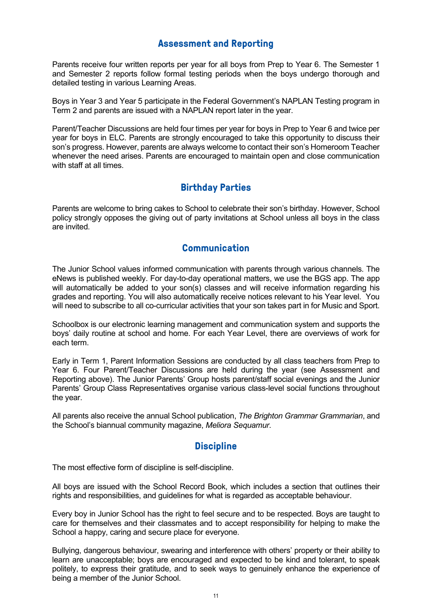# **Assessment and Reporting**

<span id="page-10-0"></span>Parents receive four written reports per year for all boys from Prep to Year 6. The Semester 1 and Semester 2 reports follow formal testing periods when the boys undergo thorough and detailed testing in various Learning Areas.

Boys in Year 3 and Year 5 participate in the Federal Government's NAPLAN Testing program in Term 2 and parents are issued with a NAPLAN report later in the year.

Parent/Teacher Discussions are held four times per year for boys in Prep to Year 6 and twice per year for boys in ELC. Parents are strongly encouraged to take this opportunity to discuss their son's progress. However, parents are always welcome to contact their son's Homeroom Teacher whenever the need arises. Parents are encouraged to maintain open and close communication with staff at all times.

# **Birthday Parties**

<span id="page-10-1"></span>Parents are welcome to bring cakes to School to celebrate their son's birthday. However, School policy strongly opposes the giving out of party invitations at School unless all boys in the class are invited.

# **Communication**

<span id="page-10-2"></span>The Junior School values informed communication with parents through various channels. The eNews is published weekly. For day-to-day operational matters, we use the BGS app. The app will automatically be added to your son(s) classes and will receive information regarding his grades and reporting. You will also automatically receive notices relevant to his Year level. You will need to subscribe to all co-curricular activities that your son takes part in for Music and Sport.

Schoolbox is our electronic learning management and communication system and supports the boys' daily routine at school and home. For each Year Level, there are overviews of work for each term.

Early in Term 1, Parent Information Sessions are conducted by all class teachers from Prep to Year 6. Four Parent/Teacher Discussions are held during the year (see Assessment and Reporting above). The Junior Parents' Group hosts parent/staff social evenings and the Junior Parents' Group Class Representatives organise various class-level social functions throughout the year.

All parents also receive the annual School publication, *The Brighton Grammar Grammarian*, and the School's biannual community magazine, *Meliora Sequamur*.

# **Discipline**

<span id="page-10-3"></span>The most effective form of discipline is self-discipline.

All boys are issued with the School Record Book, which includes a section that outlines their rights and responsibilities, and guidelines for what is regarded as acceptable behaviour.

Every boy in Junior School has the right to feel secure and to be respected. Boys are taught to care for themselves and their classmates and to accept responsibility for helping to make the School a happy, caring and secure place for everyone.

Bullying, dangerous behaviour, swearing and interference with others' property or their ability to learn are unacceptable; boys are encouraged and expected to be kind and tolerant, to speak politely, to express their gratitude, and to seek ways to genuinely enhance the experience of being a member of the Junior School.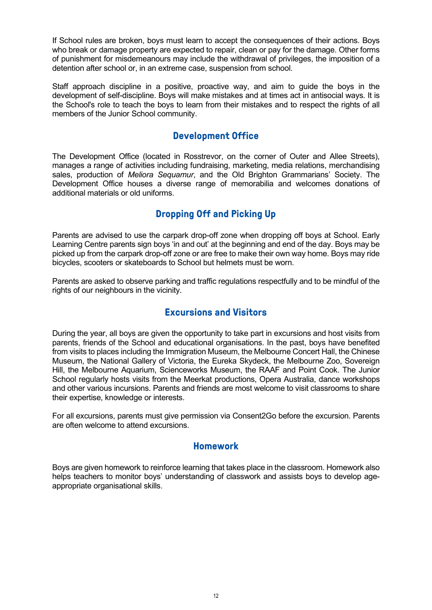If School rules are broken, boys must learn to accept the consequences of their actions. Boys who break or damage property are expected to repair, clean or pay for the damage. Other forms of punishment for misdemeanours may include the withdrawal of privileges, the imposition of a detention after school or, in an extreme case, suspension from school.

Staff approach discipline in a positive, proactive way, and aim to guide the boys in the development of self-discipline. Boys will make mistakes and at times act in antisocial ways. It is the School's role to teach the boys to learn from their mistakes and to respect the rights of all members of the Junior School community.

# **Development Office**

<span id="page-11-0"></span>The Development Office (located in Rosstrevor, on the corner of Outer and Allee Streets), manages a range of activities including fundraising, marketing, media relations, merchandising sales, production of *Meliora Sequamur*, and the Old Brighton Grammarians' Society. The Development Office houses a diverse range of memorabilia and welcomes donations of additional materials or old uniforms.

# **Dropping Off and Picking Up**

<span id="page-11-1"></span>Parents are advised to use the carpark drop-off zone when dropping off boys at School. Early Learning Centre parents sign boys 'in and out' at the beginning and end of the day. Boys may be picked up from the carpark drop-off zone or are free to make their own way home. Boys may ride bicycles, scooters or skateboards to School but helmets must be worn.

Parents are asked to observe parking and traffic regulations respectfully and to be mindful of the rights of our neighbours in the vicinity.

# **Excursions and Visitors**

<span id="page-11-2"></span>During the year, all boys are given the opportunity to take part in excursions and host visits from parents, friends of the School and educational organisations. In the past, boys have benefited from visits to places including the Immigration Museum, the Melbourne Concert Hall, the Chinese Museum, the National Gallery of Victoria, the Eureka Skydeck, the Melbourne Zoo, Sovereign Hill, the Melbourne Aquarium, Scienceworks Museum, the RAAF and Point Cook. The Junior School regularly hosts visits from the Meerkat productions, Opera Australia, dance workshops and other various incursions. Parents and friends are most welcome to visit classrooms to share their expertise, knowledge or interests.

For all excursions, parents must give permission via Consent2Go before the excursion. Parents are often welcome to attend excursions.

### **Homework**

<span id="page-11-3"></span>Boys are given homework to reinforce learning that takes place in the classroom. Homework also helps teachers to monitor boys' understanding of classwork and assists boys to develop ageappropriate organisational skills.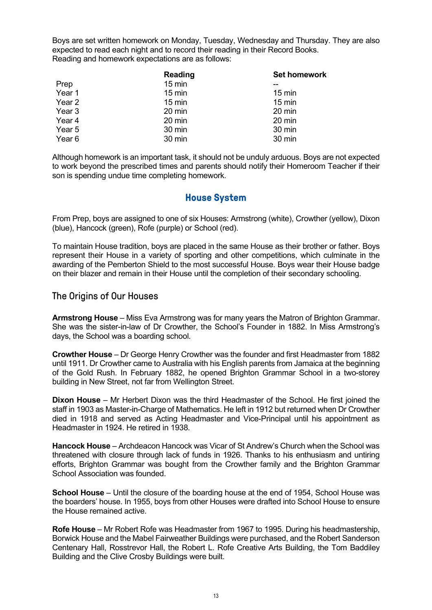Boys are set written homework on Monday, Tuesday, Wednesday and Thursday. They are also expected to read each night and to record their reading in their Record Books. Reading and homework expectations are as follows:

|        | Reading          | <b>Set homework</b> |
|--------|------------------|---------------------|
| Prep   | $15 \text{ min}$ |                     |
| Year 1 | $15 \text{ min}$ | $15 \text{ min}$    |
| Year 2 | $15 \text{ min}$ | $15 \text{ min}$    |
| Year 3 | 20 min           | 20 min              |
| Year 4 | 20 min           | 20 min              |
| Year 5 | 30 min           | 30 min              |
| Year 6 | 30 min           | 30 min              |

Although homework is an important task, it should not be unduly arduous. Boys are not expected to work beyond the prescribed times and parents should notify their Homeroom Teacher if their son is spending undue time completing homework.

### **House System**

<span id="page-12-0"></span>From Prep, boys are assigned to one of six Houses: Armstrong (white), Crowther (yellow), Dixon (blue), Hancock (green), Rofe (purple) or School (red).

To maintain House tradition, boys are placed in the same House as their brother or father. Boys represent their House in a variety of sporting and other competitions, which culminate in the awarding of the Pemberton Shield to the most successful House. Boys wear their House badge on their blazer and remain in their House until the completion of their secondary schooling.

#### The Origins of Our Houses

**Armstrong House** – Miss Eva Armstrong was for many years the Matron of Brighton Grammar. She was the sister-in-law of Dr Crowther, the School's Founder in 1882. In Miss Armstrong's days, the School was a boarding school.

**Crowther House** – Dr George Henry Crowther was the founder and first Headmaster from 1882 until 1911. Dr Crowther came to Australia with his English parents from Jamaica at the beginning of the Gold Rush. In February 1882, he opened Brighton Grammar School in a two-storey building in New Street, not far from Wellington Street.

**Dixon House** – Mr Herbert Dixon was the third Headmaster of the School. He first joined the staff in 1903 as Master-in-Charge of Mathematics. He left in 1912 but returned when Dr Crowther died in 1918 and served as Acting Headmaster and Vice-Principal until his appointment as Headmaster in 1924. He retired in 1938.

**Hancock House** – Archdeacon Hancock was Vicar of St Andrew's Church when the School was threatened with closure through lack of funds in 1926. Thanks to his enthusiasm and untiring efforts, Brighton Grammar was bought from the Crowther family and the Brighton Grammar School Association was founded.

**School House** – Until the closure of the boarding house at the end of 1954, School House was the boarders' house. In 1955, boys from other Houses were drafted into School House to ensure the House remained active.

**Rofe House** – Mr Robert Rofe was Headmaster from 1967 to 1995. During his headmastership, Borwick House and the Mabel Fairweather Buildings were purchased, and the Robert Sanderson Centenary Hall, Rosstrevor Hall, the Robert L. Rofe Creative Arts Building, the Tom Baddiley Building and the Clive Crosby Buildings were built.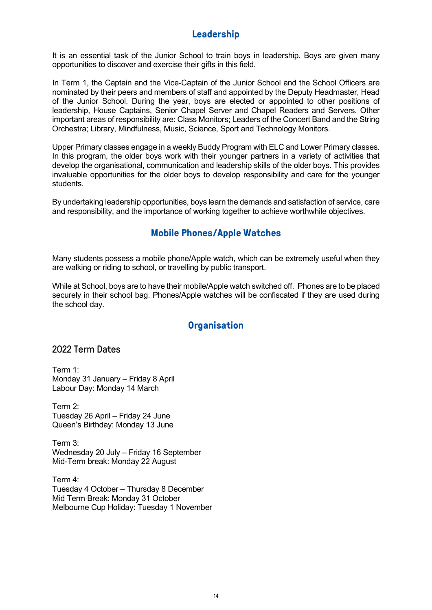# **Leadership**

<span id="page-13-0"></span>It is an essential task of the Junior School to train boys in leadership. Boys are given many opportunities to discover and exercise their gifts in this field.

In Term 1, the Captain and the Vice-Captain of the Junior School and the School Officers are nominated by their peers and members of staff and appointed by the Deputy Headmaster, Head of the Junior School. During the year, boys are elected or appointed to other positions of leadership, House Captains, Senior Chapel Server and Chapel Readers and Servers. Other important areas of responsibility are: Class Monitors; Leaders of the Concert Band and the String Orchestra; Library, Mindfulness, Music, Science, Sport and Technology Monitors.

Upper Primary classes engage in a weekly Buddy Program with ELC and Lower Primary classes. In this program, the older boys work with their younger partners in a variety of activities that develop the organisational, communication and leadership skills of the older boys. This provides invaluable opportunities for the older boys to develop responsibility and care for the younger students.

<span id="page-13-1"></span>By undertaking leadership opportunities, boys learn the demands and satisfaction of service, care and responsibility, and the importance of working together to achieve worthwhile objectives.

# **Mobile Phones/Apple Watches**

Many students possess a mobile phone/Apple watch, which can be extremely useful when they are walking or riding to school, or travelling by public transport.

While at School, boys are to have their mobile/Apple watch switched off. Phones are to be placed securely in their school bag. Phones/Apple watches will be confiscated if they are used during the school day.

# **Organisation**

## <span id="page-13-2"></span>2022 Term Dates

Term 1: Monday 31 January – Friday 8 April Labour Day: Monday 14 March

Term 2: Tuesday 26 April – Friday 24 June Queen's Birthday: Monday 13 June

Term 3: Wednesday 20 July – Friday 16 September Mid-Term break: Monday 22 August

Term 4: Tuesday 4 October – Thursday 8 December Mid Term Break: Monday 31 October Melbourne Cup Holiday: Tuesday 1 November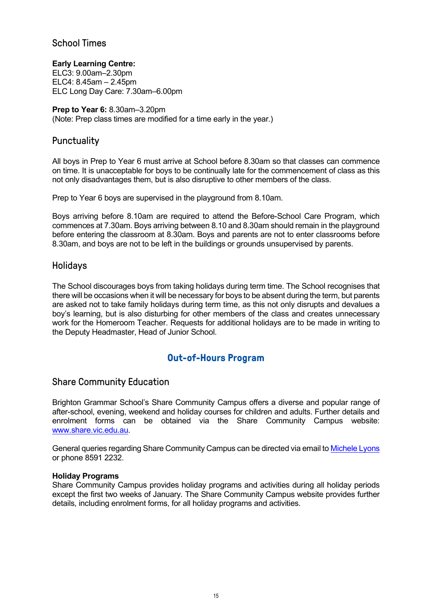## School Times

**Early Learning Centre:** ELC3: 9.00am–2.30pm ELC4: 8.45am – 2.45pm ELC Long Day Care: 7.30am–6.00pm

**Prep to Year 6:** 8.30am–3.20pm (Note: Prep class times are modified for a time early in the year.)

## **Punctuality**

All boys in Prep to Year 6 must arrive at School before 8.30am so that classes can commence on time. It is unacceptable for boys to be continually late for the commencement of class as this not only disadvantages them, but is also disruptive to other members of the class.

Prep to Year 6 boys are supervised in the playground from 8.10am.

Boys arriving before 8.10am are required to attend the Before-School Care Program, which commences at 7.30am. Boys arriving between 8.10 and 8.30am should remain in the playground before entering the classroom at 8.30am. Boys and parents are not to enter classrooms before 8.30am, and boys are not to be left in the buildings or grounds unsupervised by parents.

### Holidays

The School discourages boys from taking holidays during term time. The School recognises that there will be occasions when it will be necessary for boys to be absent during the term, but parents are asked not to take family holidays during term time, as this not only disrupts and devalues a boy's learning, but is also disturbing for other members of the class and creates unnecessary work for the Homeroom Teacher. Requests for additional holidays are to be made in writing to the Deputy Headmaster, Head of Junior School.

# **Out-of-Hours Program**

### <span id="page-14-0"></span>Share Community Education

Brighton Grammar School's Share Community Campus offers a diverse and popular range of after-school, evening, weekend and holiday courses for children and adults. Further details and enrolment forms can be obtained via the Share Community Campus website: [www.share.vic.edu.au.](http://www.share.vic.edu.au/)

General queries regarding Share Community Campus can be directed via email t[o Michele Lyons](mailto:mlyons@brightongrammar.vic.edu.au) or phone 8591 2232.

#### **Holiday Programs**

Share Community Campus provides holiday programs and activities during all holiday periods except the first two weeks of January. The Share Community Campus website provides further details, including enrolment forms, for all holiday programs and activities.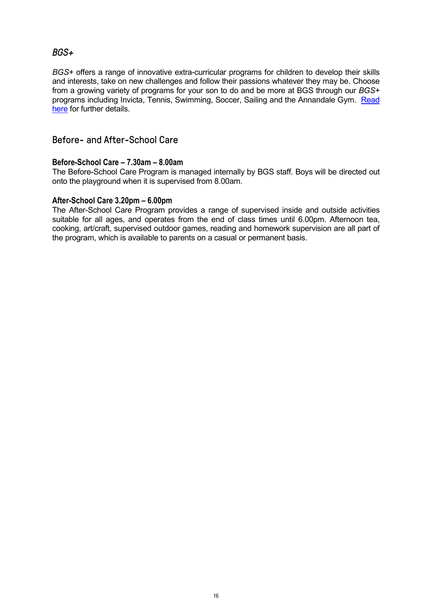## *BGS+*

*BGS+* offers a range of innovative extra-curricular programs for children to develop their skills and interests, take on new challenges and follow their passions whatever they may be. Choose from a growing variety of programs for your son to do and be more at BGS through our *BGS+* programs including Invicta, Tennis, Swimming, Soccer, Sailing and the Annandale Gym. [Read](https://www.brightongrammar.vic.edu.au/community/bgs-plus/)  [here](https://www.brightongrammar.vic.edu.au/community/bgs-plus/) for further details.

### Before- and After-School Care

#### **Before-School Care – 7.30am – 8.00am**

The Before-School Care Program is managed internally by BGS staff. Boys will be directed out onto the playground when it is supervised from 8.00am.

#### **After-School Care 3.20pm – 6.00pm**

The After-School Care Program provides a range of supervised inside and outside activities suitable for all ages, and operates from the end of class times until 6.00pm. Afternoon tea, cooking, art/craft, supervised outdoor games, reading and homework supervision are all part of the program, which is available to parents on a casual or permanent basis.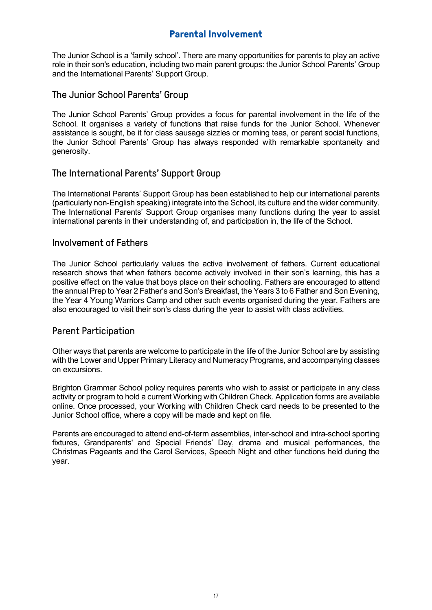# **Parental Involvement**

<span id="page-16-0"></span>The Junior School is a 'family school'. There are many opportunities for parents to play an active role in their son's education, including two main parent groups: the Junior School Parents' Group and the International Parents' Support Group.

### The Junior School Parents' Group

The Junior School Parents' Group provides a focus for parental involvement in the life of the School. It organises a variety of functions that raise funds for the Junior School. Whenever assistance is sought, be it for class sausage sizzles or morning teas, or parent social functions, the Junior School Parents' Group has always responded with remarkable spontaneity and generosity.

## The International Parents' Support Group

The International Parents' Support Group has been established to help our international parents (particularly non-English speaking) integrate into the School, its culture and the wider community. The International Parents' Support Group organises many functions during the year to assist international parents in their understanding of, and participation in, the life of the School.

### Involvement of Fathers

The Junior School particularly values the active involvement of fathers. Current educational research shows that when fathers become actively involved in their son's learning, this has a positive effect on the value that boys place on their schooling. Fathers are encouraged to attend the annual Prep to Year 2 Father's and Son's Breakfast, the Years 3 to 6 Father and Son Evening, the Year 4 Young Warriors Camp and other such events organised during the year. Fathers are also encouraged to visit their son's class during the year to assist with class activities.

## Parent Participation

Other ways that parents are welcome to participate in the life of the Junior School are by assisting with the Lower and Upper Primary Literacy and Numeracy Programs, and accompanying classes on excursions.

Brighton Grammar School policy requires parents who wish to assist or participate in any class activity or program to hold a current Working with Children Check. Application forms are available online. Once processed, your Working with Children Check card needs to be presented to the Junior School office, where a copy will be made and kept on file.

Parents are encouraged to attend end-of-term assemblies, inter-school and intra-school sporting fixtures, Grandparents' and Special Friends' Day, drama and musical performances, the Christmas Pageants and the Carol Services, Speech Night and other functions held during the year.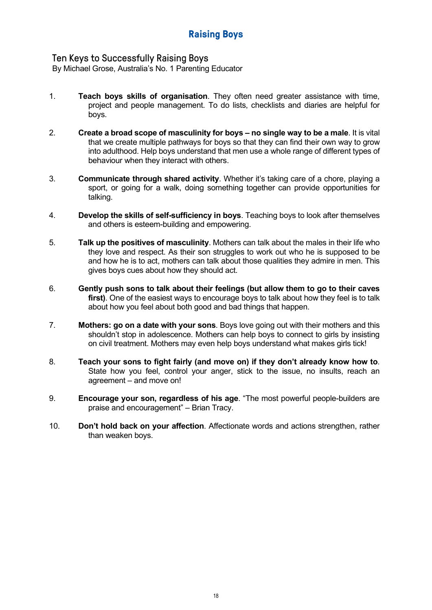## <span id="page-17-0"></span>Ten Keys to Successfully Raising Boys

By Michael Grose, Australia's No. 1 Parenting Educator

- 1. **Teach boys skills of organisation**. They often need greater assistance with time, project and people management. To do lists, checklists and diaries are helpful for boys.
- 2. **Create a broad scope of masculinity for boys – no single way to be a male**. It is vital that we create multiple pathways for boys so that they can find their own way to grow into adulthood. Help boys understand that men use a whole range of different types of behaviour when they interact with others.
- 3. **Communicate through shared activity**. Whether it's taking care of a chore, playing a sport, or going for a walk, doing something together can provide opportunities for talking.
- 4. **Develop the skills of self-sufficiency in boys**. Teaching boys to look after themselves and others is esteem-building and empowering.
- 5. **Talk up the positives of masculinity**. Mothers can talk about the males in their life who they love and respect. As their son struggles to work out who he is supposed to be and how he is to act, mothers can talk about those qualities they admire in men. This gives boys cues about how they should act.
- 6. **Gently push sons to talk about their feelings (but allow them to go to their caves first)**. One of the easiest ways to encourage boys to talk about how they feel is to talk about how you feel about both good and bad things that happen.
- 7. **Mothers: go on a date with your sons**. Boys love going out with their mothers and this shouldn't stop in adolescence. Mothers can help boys to connect to girls by insisting on civil treatment. Mothers may even help boys understand what makes girls tick!
- 8. **Teach your sons to fight fairly (and move on) if they don't already know how to**. State how you feel, control your anger, stick to the issue, no insults, reach an agreement – and move on!
- 9. **Encourage your son, regardless of his age**. "The most powerful people-builders are praise and encouragement" – Brian Tracy.
- 10. **Don't hold back on your affection**. Affectionate words and actions strengthen, rather than weaken boys.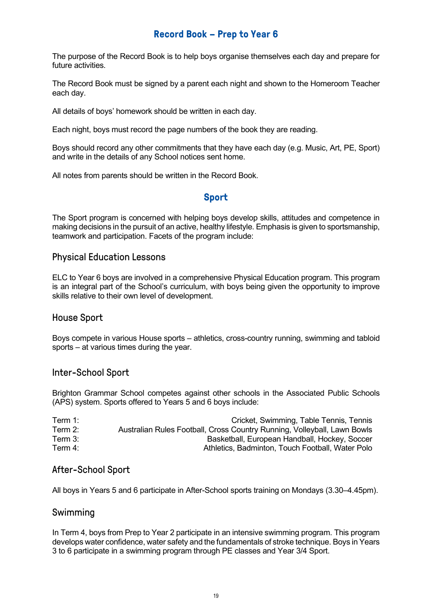# **Record Book – Prep to Year 6**

<span id="page-18-0"></span>The purpose of the Record Book is to help boys organise themselves each day and prepare for future activities.

The Record Book must be signed by a parent each night and shown to the Homeroom Teacher each day.

All details of boys' homework should be written in each day.

Each night, boys must record the page numbers of the book they are reading.

Boys should record any other commitments that they have each day (e.g. Music, Art, PE, Sport) and write in the details of any School notices sent home.

<span id="page-18-1"></span>All notes from parents should be written in the Record Book.

## **Sport**

The Sport program is concerned with helping boys develop skills, attitudes and competence in making decisions in the pursuit of an active, healthy lifestyle. Emphasis is given to sportsmanship, teamwork and participation. Facets of the program include:

### Physical Education Lessons

ELC to Year 6 boys are involved in a comprehensive Physical Education program. This program is an integral part of the School's curriculum, with boys being given the opportunity to improve skills relative to their own level of development.

### House Sport

Boys compete in various House sports – athletics, cross-country running, swimming and tabloid sports – at various times during the year.

### Inter-School Sport

Brighton Grammar School competes against other schools in the Associated Public Schools (APS) system. Sports offered to Years 5 and 6 boys include:

| Term 1:    | Cricket, Swimming, Table Tennis, Tennis                                  |
|------------|--------------------------------------------------------------------------|
| Term $2:$  | Australian Rules Football, Cross Country Running, Volleyball, Lawn Bowls |
| Term $3:$  | Basketball, European Handball, Hockey, Soccer                            |
| Term $4$ : | Athletics, Badminton, Touch Football, Water Polo                         |

### After-School Sport

All boys in Years 5 and 6 participate in After-School sports training on Mondays (3.30–4.45pm).

#### Swimming

In Term 4, boys from Prep to Year 2 participate in an intensive swimming program. This program develops water confidence, water safety and the fundamentals of stroke technique. Boys in Years 3 to 6 participate in a swimming program through PE classes and Year 3/4 Sport.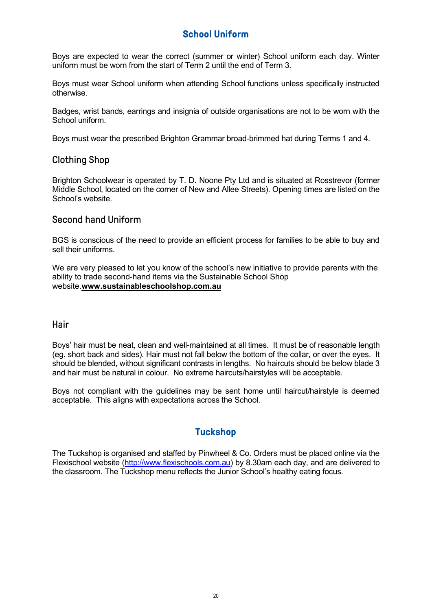# **School Uniform**

<span id="page-19-0"></span>Boys are expected to wear the correct (summer or winter) School uniform each day. Winter uniform must be worn from the start of Term 2 until the end of Term 3.

Boys must wear School uniform when attending School functions unless specifically instructed otherwise.

Badges, wrist bands, earrings and insignia of outside organisations are not to be worn with the School uniform.

Boys must wear the prescribed Brighton Grammar broad-brimmed hat during Terms 1 and 4.

### Clothing Shop

Brighton Schoolwear is operated by T. D. Noone Pty Ltd and is situated at Rosstrevor (former Middle School, located on the corner of New and Allee Streets). Opening times are listed on the School's website.

## Second hand Uniform

BGS is conscious of the need to provide an efficient process for families to be able to buy and sell their uniforms.

We are very pleased to let you know of the school's new initiative to provide parents with the ability to trade second-hand items via the Sustainable School Shop website.**[www.sustainableschoolshop.com.au](http://www.sustainableschoolshop.com.au/)**

#### **Hair**

Boys' hair must be neat, clean and well-maintained at all times. It must be of reasonable length (eg. short back and sides). Hair must not fall below the bottom of the collar, or over the eyes. It should be blended, without significant contrasts in lengths. No haircuts should be below blade 3 and hair must be natural in colour. No extreme haircuts/hairstyles will be acceptable.

Boys not compliant with the guidelines may be sent home until haircut/hairstyle is deemed acceptable. This aligns with expectations across the School.

# **Tuckshop**

<span id="page-19-1"></span>The Tuckshop is organised and staffed by Pinwheel & Co. Orders must be placed online via the Flexischool website [\(http://www.flexischools.com.au\)](http://www.flexischools.com.au/) by 8.30am each day, and are delivered to the classroom. The Tuckshop menu reflects the Junior School's healthy eating focus.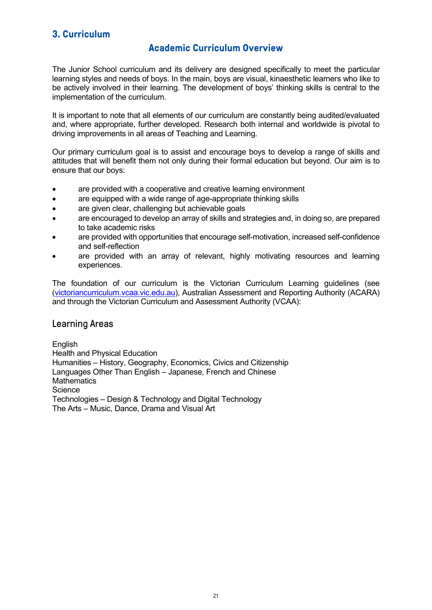# <span id="page-20-1"></span><span id="page-20-0"></span>**3. Curriculum**

## **Academic Curriculum Overview**

The Junior School curriculum and its delivery are designed specifically to meet the particular learning styles and needs of boys. In the main, boys are visual, kinaesthetic learners who like to be actively involved in their learning. The development of boys' thinking skills is central to the implementation of the curriculum.

It is important to note that all elements of our curriculum are constantly being audited/evaluated and, where appropriate, further developed. Research both internal and worldwide is pivotal to driving improvements in all areas of Teaching and Learning.

Our primary curriculum goal is to assist and encourage boys to develop a range of skills and attitudes that will benefit them not only during their formal education but beyond. Our aim is to ensure that our boys:

- are provided with a cooperative and creative learning environment
- are equipped with a wide range of age-appropriate thinking skills
- are given clear, challenging but achievable goals
- are encouraged to develop an array of skills and strategies and, in doing so, are prepared to take academic risks
- are provided with opportunities that encourage self-motivation, increased self-confidence and self-reflection
- are provided with an array of relevant, highly motivating resources and learning experiences.

The foundation of our curriculum is the Victorian Curriculum Learning guidelines (see [\(victoriancurriculum.vcaa.vic.edu.au\)](http://victoriancurriculum.vcaa.vic.edu.au/), Australian Assessment and Reporting Authority (ACARA) and through the Victorian Curriculum and Assessment Authority (VCAA):

### Learning Areas

English Health and Physical Education Humanities – History, Geography, Economics, Civics and Citizenship Languages Other Than English – Japanese, French and Chinese **Mathematics Science** Technologies – Design & Technology and Digital Technology The Arts – Music, Dance, Drama and Visual Art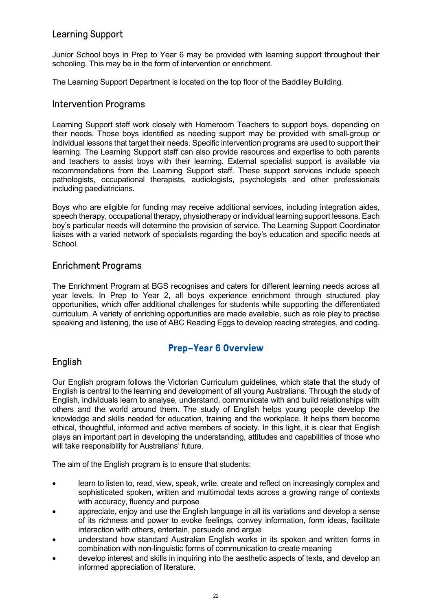# Learning Support

Junior School boys in Prep to Year 6 may be provided with learning support throughout their schooling. This may be in the form of intervention or enrichment.

The Learning Support Department is located on the top floor of the Baddiley Building.

### Intervention Programs

Learning Support staff work closely with Homeroom Teachers to support boys, depending on their needs. Those boys identified as needing support may be provided with small-group or individual lessons that target their needs. Specific intervention programs are used to support their learning. The Learning Support staff can also provide resources and expertise to both parents and teachers to assist boys with their learning. External specialist support is available via recommendations from the Learning Support staff. These support services include speech pathologists, occupational therapists, audiologists, psychologists and other professionals including paediatricians.

Boys who are eligible for funding may receive additional services, including integration aides, speech therapy, occupational therapy, physiotherapy or individual learning support lessons. Each boy's particular needs will determine the provision of service. The Learning Support Coordinator liaises with a varied network of specialists regarding the boy's education and specific needs at School.

## Enrichment Programs

The Enrichment Program at BGS recognises and caters for different learning needs across all year levels. In Prep to Year 2, all boys experience enrichment through structured play opportunities, which offer additional challenges for students while supporting the differentiated curriculum. A variety of enriching opportunities are made available, such as role play to practise speaking and listening, the use of ABC Reading Eggs to develop reading strategies, and coding.

## **Prep–Year 6 Overview**

## <span id="page-21-0"></span>English

Our English program follows the Victorian Curriculum guidelines, which state that the study of English is central to the learning and development of all young Australians. Through the study of English, individuals learn to analyse, understand, communicate with and build relationships with others and the world around them. The study of English helps young people develop the knowledge and skills needed for education, training and the workplace. It helps them become ethical, thoughtful, informed and active members of society. In this light, it is clear that English plays an important part in developing the understanding, attitudes and capabilities of those who will take responsibility for Australians' future.

The aim of the English program is to ensure that students:

- learn to listen to, read, view, speak, write, create and reflect on increasingly complex and sophisticated spoken, written and multimodal texts across a growing range of contexts with accuracy, fluency and purpose
- appreciate, enjoy and use the English language in all its variations and develop a sense of its richness and power to evoke feelings, convey information, form ideas, facilitate interaction with others, entertain, persuade and argue
- understand how standard Australian English works in its spoken and written forms in combination with non-linguistic forms of communication to create meaning
- develop interest and skills in inquiring into the aesthetic aspects of texts, and develop an informed appreciation of literature.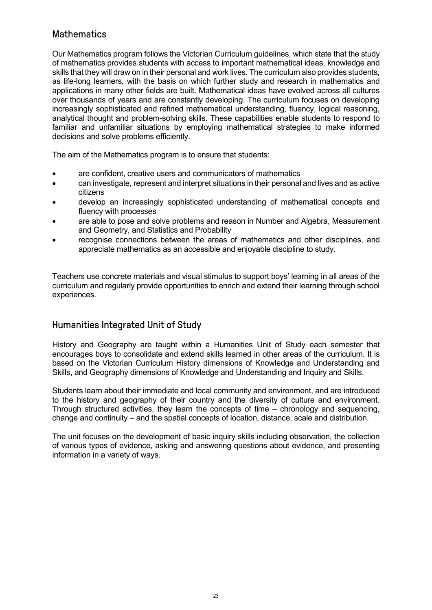# **Mathematics**

Our Mathematics program follows the Victorian Curriculum guidelines, which state that the study of mathematics provides students with access to important mathematical ideas, knowledge and skills that they will draw on in their personal and work lives. The curriculum also provides students, as life-long learners, with the basis on which further study and research in mathematics and applications in many other fields are built. Mathematical ideas have evolved across all cultures over thousands of years and are constantly developing. The curriculum focuses on developing increasingly sophisticated and refined mathematical understanding, fluency, logical reasoning, analytical thought and problem-solving skills. These capabilities enable students to respond to familiar and unfamiliar situations by employing mathematical strategies to make informed decisions and solve problems efficiently.

The aim of the Mathematics program is to ensure that students:

- are confident, creative users and communicators of mathematics
- can investigate, represent and interpret situations in their personal and lives and as active citizens
- develop an increasingly sophisticated understanding of mathematical concepts and fluency with processes
- are able to pose and solve problems and reason in Number and Algebra, Measurement and Geometry, and Statistics and Probability
- recognise connections between the areas of mathematics and other disciplines, and appreciate mathematics as an accessible and enjoyable discipline to study.

Teachers use concrete materials and visual stimulus to support boys' learning in all areas of the curriculum and regularly provide opportunities to enrich and extend their learning through school experiences.

## Humanities Integrated Unit of Study

History and Geography are taught within a Humanities Unit of Study each semester that encourages boys to consolidate and extend skills learned in other areas of the curriculum. It is based on the Victorian Curriculum History dimensions of Knowledge and Understanding and Skills, and Geography dimensions of Knowledge and Understanding and Inquiry and Skills.

Students learn about their immediate and local community and environment, and are introduced to the history and geography of their country and the diversity of culture and environment. Through structured activities, they learn the concepts of time – chronology and sequencing, change and continuity – and the spatial concepts of location, distance, scale and distribution.

The unit focuses on the development of basic inquiry skills including observation, the collection of various types of evidence, asking and answering questions about evidence, and presenting information in a variety of ways.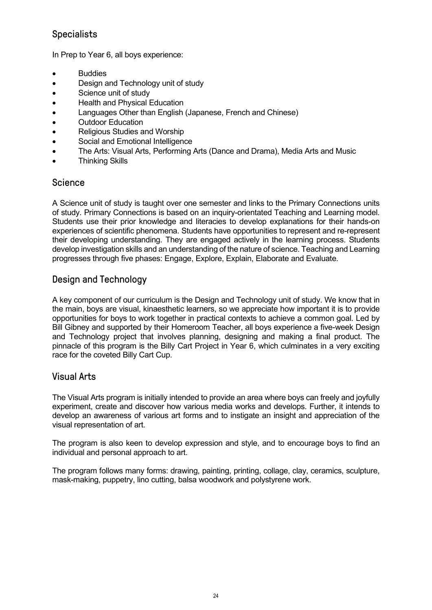# **Specialists**

In Prep to Year 6, all boys experience:

- **Buddies**
- Design and Technology unit of study
- Science unit of study
- Health and Physical Education
- Languages Other than English (Japanese, French and Chinese)
- Outdoor Education
- Religious Studies and Worship
- Social and Emotional Intelligence
- The Arts: Visual Arts, Performing Arts (Dance and Drama), Media Arts and Music
- Thinking Skills

### **Science**

A Science unit of study is taught over one semester and links to the Primary Connections units of study. Primary Connections is based on an inquiry-orientated Teaching and Learning model. Students use their prior knowledge and literacies to develop explanations for their hands-on experiences of scientific phenomena. Students have opportunities to represent and re-represent their developing understanding. They are engaged actively in the learning process. Students develop investigation skills and an understanding of the nature of science. Teaching and Learning progresses through five phases: Engage, Explore, Explain, Elaborate and Evaluate.

# Design and Technology

A key component of our curriculum is the Design and Technology unit of study. We know that in the main, boys are visual, kinaesthetic learners, so we appreciate how important it is to provide opportunities for boys to work together in practical contexts to achieve a common goal. Led by Bill Gibney and supported by their Homeroom Teacher, all boys experience a five-week Design and Technology project that involves planning, designing and making a final product. The pinnacle of this program is the Billy Cart Project in Year 6, which culminates in a very exciting race for the coveted Billy Cart Cup.

### Visual Arts

The Visual Arts program is initially intended to provide an area where boys can freely and joyfully experiment, create and discover how various media works and develops. Further, it intends to develop an awareness of various art forms and to instigate an insight and appreciation of the visual representation of art.

The program is also keen to develop expression and style, and to encourage boys to find an individual and personal approach to art.

The program follows many forms: drawing, painting, printing, collage, clay, ceramics, sculpture, mask-making, puppetry, lino cutting, balsa woodwork and polystyrene work.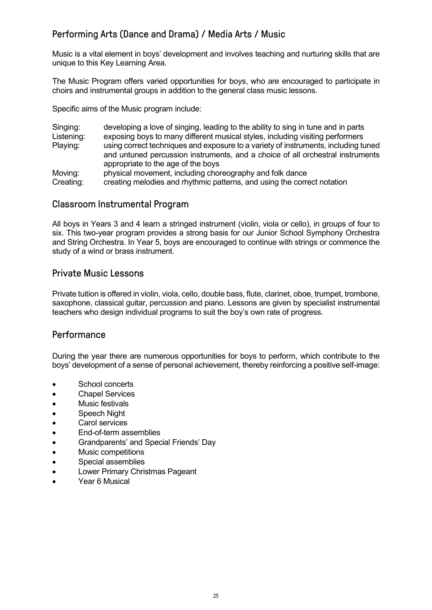# Performing Arts (Dance and Drama) / Media Arts / Music

Music is a vital element in boys' development and involves teaching and nurturing skills that are unique to this Key Learning Area.

The Music Program offers varied opportunities for boys, who are encouraged to participate in choirs and instrumental groups in addition to the general class music lessons.

Specific aims of the Music program include:

Singing: developing a love of singing, leading to the ability to sing in tune and in parts Listening: exposing boys to many different musical styles, including visiting performers Playing: using correct techniques and exposure to a variety of instruments, including tuned and untuned percussion instruments, and a choice of all orchestral instruments appropriate to the age of the boys Moving: physical movement, including choreography and folk dance Creating: creating melodies and rhythmic patterns, and using the correct notation

### Classroom Instrumental Program

All boys in Years 3 and 4 learn a stringed instrument (violin, viola or cello), in groups of four to six. This two-year program provides a strong basis for our Junior School Symphony Orchestra and String Orchestra. In Year 5, boys are encouraged to continue with strings or commence the study of a wind or brass instrument.

### Private Music Lessons

Private tuition is offered in violin, viola, cello, double bass, flute, clarinet, oboe, trumpet, trombone, saxophone, classical guitar, percussion and piano. Lessons are given by specialist instrumental teachers who design individual programs to suit the boy's own rate of progress.

### **Performance**

During the year there are numerous opportunities for boys to perform, which contribute to the boys' development of a sense of personal achievement, thereby reinforcing a positive self-image:

- School concerts
- Chapel Services
- Music festivals
- Speech Night
- Carol services
- End-of-term assemblies
- Grandparents' and Special Friends' Day
- Music competitions
- Special assemblies
- Lower Primary Christmas Pageant
- Year 6 Musical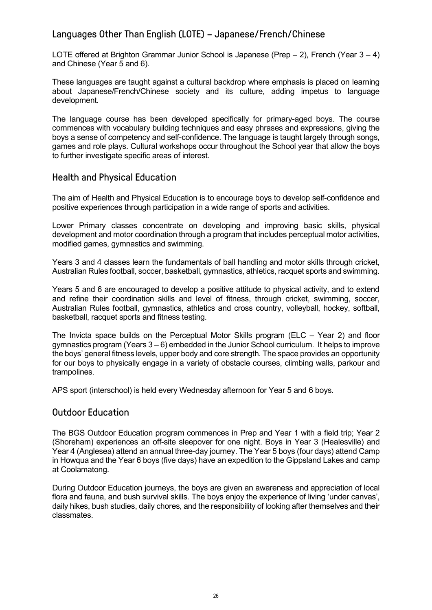# Languages Other Than English (LOTE) – Japanese/French/Chinese

LOTE offered at Brighton Grammar Junior School is Japanese (Prep  $- 2$ ), French (Year  $3 - 4$ ) and Chinese (Year 5 and 6).

These languages are taught against a cultural backdrop where emphasis is placed on learning about Japanese/French/Chinese society and its culture, adding impetus to language development.

The language course has been developed specifically for primary-aged boys. The course commences with vocabulary building techniques and easy phrases and expressions, giving the boys a sense of competency and self-confidence. The language is taught largely through songs, games and role plays. Cultural workshops occur throughout the School year that allow the boys to further investigate specific areas of interest.

### Health and Physical Education

The aim of Health and Physical Education is to encourage boys to develop self-confidence and positive experiences through participation in a wide range of sports and activities.

Lower Primary classes concentrate on developing and improving basic skills, physical development and motor coordination through a program that includes perceptual motor activities, modified games, gymnastics and swimming.

Years 3 and 4 classes learn the fundamentals of ball handling and motor skills through cricket, Australian Rules football, soccer, basketball, gymnastics, athletics, racquet sports and swimming.

Years 5 and 6 are encouraged to develop a positive attitude to physical activity, and to extend and refine their coordination skills and level of fitness, through cricket, swimming, soccer, Australian Rules football, gymnastics, athletics and cross country, volleyball, hockey, softball, basketball, racquet sports and fitness testing.

The Invicta space builds on the Perceptual Motor Skills program (ELC – Year 2) and floor gymnastics program (Years 3 – 6) embedded in the Junior School curriculum. It helps to improve the boys' general fitness levels, upper body and core strength. The space provides an opportunity for our boys to physically engage in a variety of obstacle courses, climbing walls, parkour and trampolines.

APS sport (interschool) is held every Wednesday afternoon for Year 5 and 6 boys.

### Outdoor Education

The BGS Outdoor Education program commences in Prep and Year 1 with a field trip; Year 2 (Shoreham) experiences an off-site sleepover for one night. Boys in Year 3 (Healesville) and Year 4 (Anglesea) attend an annual three-day journey. The Year 5 boys (four days) attend Camp in Howqua and the Year 6 boys (five days) have an expedition to the Gippsland Lakes and camp at Coolamatong.

During Outdoor Education journeys, the boys are given an awareness and appreciation of local flora and fauna, and bush survival skills. The boys enjoy the experience of living 'under canvas', daily hikes, bush studies, daily chores, and the responsibility of looking after themselves and their classmates.